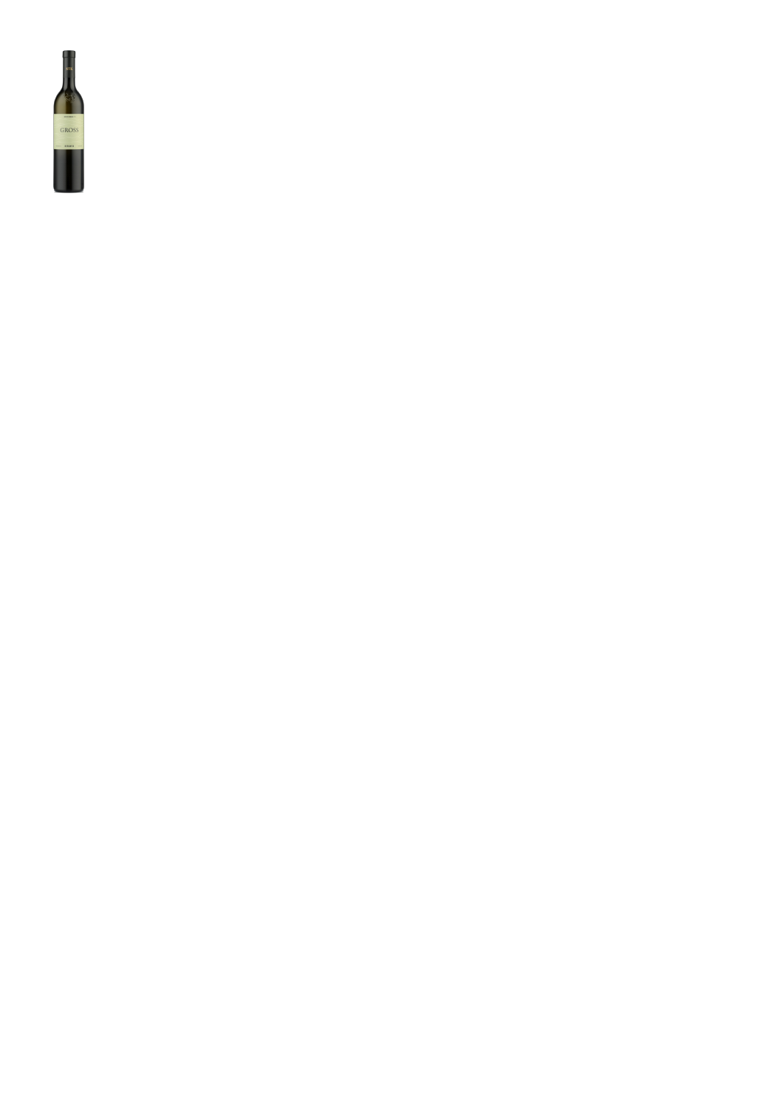